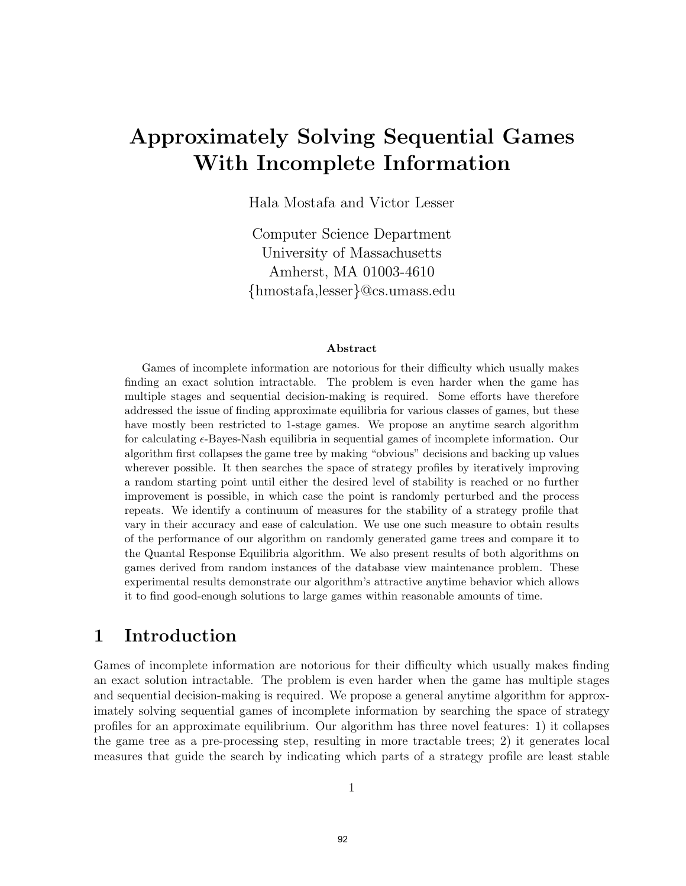# Approximately Solving Sequential Games With Incomplete Information

Hala Mostafa and Victor Lesser

Computer Science Department University of Massachusetts Amherst, MA 01003-4610 {hmostafa,lesser}@cs.umass.edu

#### Abstract

Games of incomplete information are notorious for their difficulty which usually makes finding an exact solution intractable. The problem is even harder when the game has multiple stages and sequential decision-making is required. Some efforts have therefore addressed the issue of finding approximate equilibria for various classes of games, but these have mostly been restricted to 1-stage games. We propose an anytime search algorithm for calculating  $\epsilon$ -Bayes-Nash equilibria in sequential games of incomplete information. Our algorithm first collapses the game tree by making "obvious" decisions and backing up values wherever possible. It then searches the space of strategy profiles by iteratively improving a random starting point until either the desired level of stability is reached or no further improvement is possible, in which case the point is randomly perturbed and the process repeats. We identify a continuum of measures for the stability of a strategy profile that vary in their accuracy and ease of calculation. We use one such measure to obtain results of the performance of our algorithm on randomly generated game trees and compare it to the Quantal Response Equilibria algorithm. We also present results of both algorithms on games derived from random instances of the database view maintenance problem. These experimental results demonstrate our algorithm's attractive anytime behavior which allows it to find good-enough solutions to large games within reasonable amounts of time.

## 1 Introduction

Games of incomplete information are notorious for their difficulty which usually makes finding an exact solution intractable. The problem is even harder when the game has multiple stages and sequential decision-making is required. We propose a general anytime algorithm for approximately solving sequential games of incomplete information by searching the space of strategy profiles for an approximate equilibrium. Our algorithm has three novel features: 1) it collapses the game tree as a pre-processing step, resulting in more tractable trees; 2) it generates local measures that guide the search by indicating which parts of a strategy profile are least stable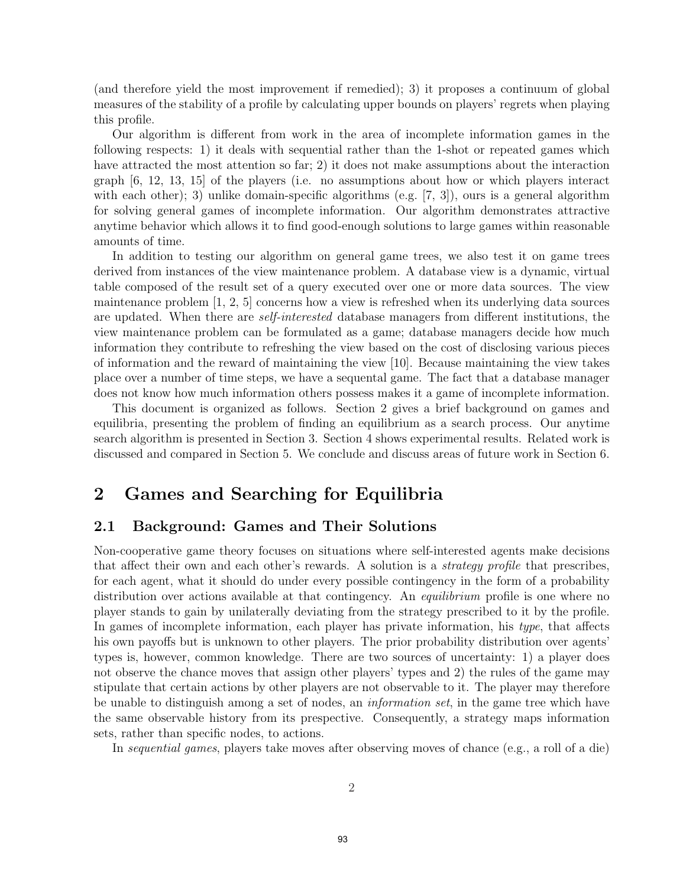(and therefore yield the most improvement if remedied); 3) it proposes a continuum of global measures of the stability of a profile by calculating upper bounds on players' regrets when playing this profile.

Our algorithm is different from work in the area of incomplete information games in the following respects: 1) it deals with sequential rather than the 1-shot or repeated games which have attracted the most attention so far; 2) it does not make assumptions about the interaction graph [6, 12, 13, 15] of the players (i.e. no assumptions about how or which players interact with each other); 3) unlike domain-specific algorithms (e.g.  $[7, 3]$ ), ours is a general algorithm for solving general games of incomplete information. Our algorithm demonstrates attractive anytime behavior which allows it to find good-enough solutions to large games within reasonable amounts of time.

In addition to testing our algorithm on general game trees, we also test it on game trees derived from instances of the view maintenance problem. A database view is a dynamic, virtual table composed of the result set of a query executed over one or more data sources. The view maintenance problem [1, 2, 5] concerns how a view is refreshed when its underlying data sources are updated. When there are self-interested database managers from different institutions, the view maintenance problem can be formulated as a game; database managers decide how much information they contribute to refreshing the view based on the cost of disclosing various pieces of information and the reward of maintaining the view [10]. Because maintaining the view takes place over a number of time steps, we have a sequental game. The fact that a database manager does not know how much information others possess makes it a game of incomplete information.

This document is organized as follows. Section 2 gives a brief background on games and equilibria, presenting the problem of finding an equilibrium as a search process. Our anytime search algorithm is presented in Section 3. Section 4 shows experimental results. Related work is discussed and compared in Section 5. We conclude and discuss areas of future work in Section 6.

# 2 Games and Searching for Equilibria

### 2.1 Background: Games and Their Solutions

Non-cooperative game theory focuses on situations where self-interested agents make decisions that affect their own and each other's rewards. A solution is a strategy profile that prescribes, for each agent, what it should do under every possible contingency in the form of a probability distribution over actions available at that contingency. An *equilibrium* profile is one where no player stands to gain by unilaterally deviating from the strategy prescribed to it by the profile. In games of incomplete information, each player has private information, his type, that affects his own payoffs but is unknown to other players. The prior probability distribution over agents' types is, however, common knowledge. There are two sources of uncertainty: 1) a player does not observe the chance moves that assign other players' types and 2) the rules of the game may stipulate that certain actions by other players are not observable to it. The player may therefore be unable to distinguish among a set of nodes, an information set, in the game tree which have the same observable history from its prespective. Consequently, a strategy maps information sets, rather than specific nodes, to actions.

In sequential games, players take moves after observing moves of chance (e.g., a roll of a die)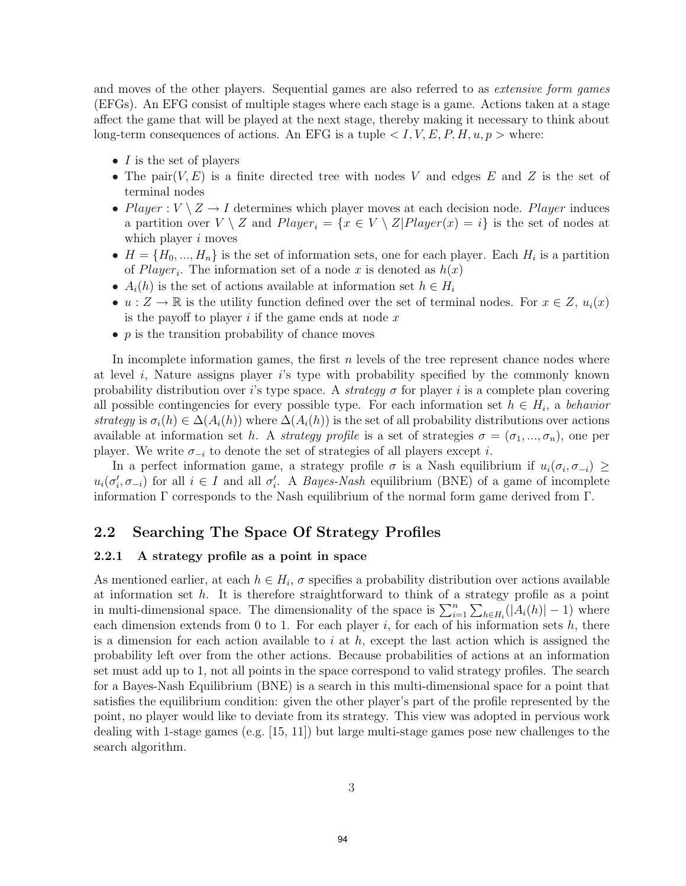and moves of the other players. Sequential games are also referred to as *extensive form games* (EFGs). An EFG consist of multiple stages where each stage is a game. Actions taken at a stage affect the game that will be played at the next stage, thereby making it necessary to think about long-term consequences of actions. An EFG is a tuple  $\langle I, V, E, P, H, u, p \rangle$  where:

- $I$  is the set of players
- The pair $(V, E)$  is a finite directed tree with nodes V and edges E and Z is the set of terminal nodes
- Player :  $V \setminus Z \rightarrow I$  determines which player moves at each decision node. Player induces a partition over  $V \setminus Z$  and  $Player_i = \{x \in V \setminus Z | Player(x) = i\}$  is the set of nodes at which player  $i$  moves
- $H = \{H_0, ..., H_n\}$  is the set of information sets, one for each player. Each  $H_i$  is a partition of *Player<sub>i</sub>*. The information set of a node x is denoted as  $h(x)$
- $A_i(h)$  is the set of actions available at information set  $h \in H_i$
- $u: Z \to \mathbb{R}$  is the utility function defined over the set of terminal nodes. For  $x \in Z$ ,  $u_i(x)$ is the payoff to player  $i$  if the game ends at node  $x$
- $p$  is the transition probability of chance moves

In incomplete information games, the first  $n$  levels of the tree represent chance nodes where at level  $i$ , Nature assigns player  $i$ 's type with probability specified by the commonly known probability distribution over i's type space. A strategy  $\sigma$  for player i is a complete plan covering all possible contingencies for every possible type. For each information set  $h \in H_i$ , a behavior strategy is  $\sigma_i(h) \in \Delta(A_i(h))$  where  $\Delta(A_i(h))$  is the set of all probability distributions over actions available at information set h. A strategy profile is a set of strategies  $\sigma = (\sigma_1, ..., \sigma_n)$ , one per player. We write  $\sigma_{-i}$  to denote the set of strategies of all players except *i*.

In a perfect information game, a strategy profile  $\sigma$  is a Nash equilibrium if  $u_i(\sigma_i, \sigma_{-i}) \geq$  $u_i(\sigma'_i, \sigma_{-i})$  for all  $i \in I$  and all  $\sigma'_i$ . A *Bayes-Nash* equilibrium (BNE) of a game of incomplete information  $\Gamma$  corresponds to the Nash equilibrium of the normal form game derived from  $\Gamma$ .

### 2.2 Searching The Space Of Strategy Profiles

#### 2.2.1 A strategy profile as a point in space

As mentioned earlier, at each  $h \in H_i$ ,  $\sigma$  specifies a probability distribution over actions available at information set  $h$ . It is therefore straightforward to think of a strategy profile as a point in multi-dimensional space. The dimensionality of the space is  $\sum_{i=1}^{n} \sum_{h \in H_i} (|A_i(h)| - 1)$  where each dimension extends from 0 to 1. For each player  $i$ , for each of his information sets  $h$ , there is a dimension for each action available to i at  $h$ , except the last action which is assigned the probability left over from the other actions. Because probabilities of actions at an information set must add up to 1, not all points in the space correspond to valid strategy profiles. The search for a Bayes-Nash Equilibrium (BNE) is a search in this multi-dimensional space for a point that satisfies the equilibrium condition: given the other player's part of the profile represented by the point, no player would like to deviate from its strategy. This view was adopted in pervious work dealing with 1-stage games (e.g. [15, 11]) but large multi-stage games pose new challenges to the search algorithm.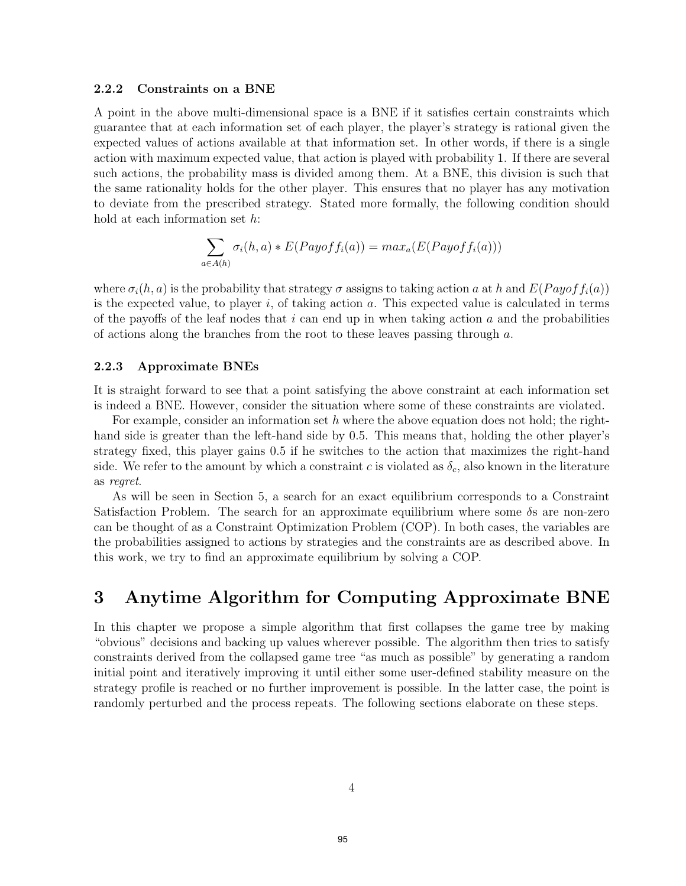#### 2.2.2 Constraints on a BNE

A point in the above multi-dimensional space is a BNE if it satisfies certain constraints which guarantee that at each information set of each player, the player's strategy is rational given the expected values of actions available at that information set. In other words, if there is a single action with maximum expected value, that action is played with probability 1. If there are several such actions, the probability mass is divided among them. At a BNE, this division is such that the same rationality holds for the other player. This ensures that no player has any motivation to deviate from the prescribed strategy. Stated more formally, the following condition should hold at each information set h:

$$
\sum_{a \in A(h)} \sigma_i(h, a) * E(Payoff_i(a)) = max_a(E(Payoff_i(a)))
$$

where  $\sigma_i(h, a)$  is the probability that strategy  $\sigma$  assigns to taking action a at h and  $E(Payof f_i(a))$ is the expected value, to player i, of taking action  $a$ . This expected value is calculated in terms of the payoffs of the leaf nodes that  $i$  can end up in when taking action  $a$  and the probabilities of actions along the branches from the root to these leaves passing through a.

#### 2.2.3 Approximate BNEs

It is straight forward to see that a point satisfying the above constraint at each information set is indeed a BNE. However, consider the situation where some of these constraints are violated.

For example, consider an information set h where the above equation does not hold; the righthand side is greater than the left-hand side by 0.5. This means that, holding the other player's strategy fixed, this player gains 0.5 if he switches to the action that maximizes the right-hand side. We refer to the amount by which a constraint c is violated as  $\delta_c$ , also known in the literature as regret.

As will be seen in Section 5, a search for an exact equilibrium corresponds to a Constraint Satisfaction Problem. The search for an approximate equilibrium where some δs are non-zero can be thought of as a Constraint Optimization Problem (COP). In both cases, the variables are the probabilities assigned to actions by strategies and the constraints are as described above. In this work, we try to find an approximate equilibrium by solving a COP.

## 3 Anytime Algorithm for Computing Approximate BNE

In this chapter we propose a simple algorithm that first collapses the game tree by making "obvious" decisions and backing up values wherever possible. The algorithm then tries to satisfy constraints derived from the collapsed game tree "as much as possible" by generating a random initial point and iteratively improving it until either some user-defined stability measure on the strategy profile is reached or no further improvement is possible. In the latter case, the point is randomly perturbed and the process repeats. The following sections elaborate on these steps.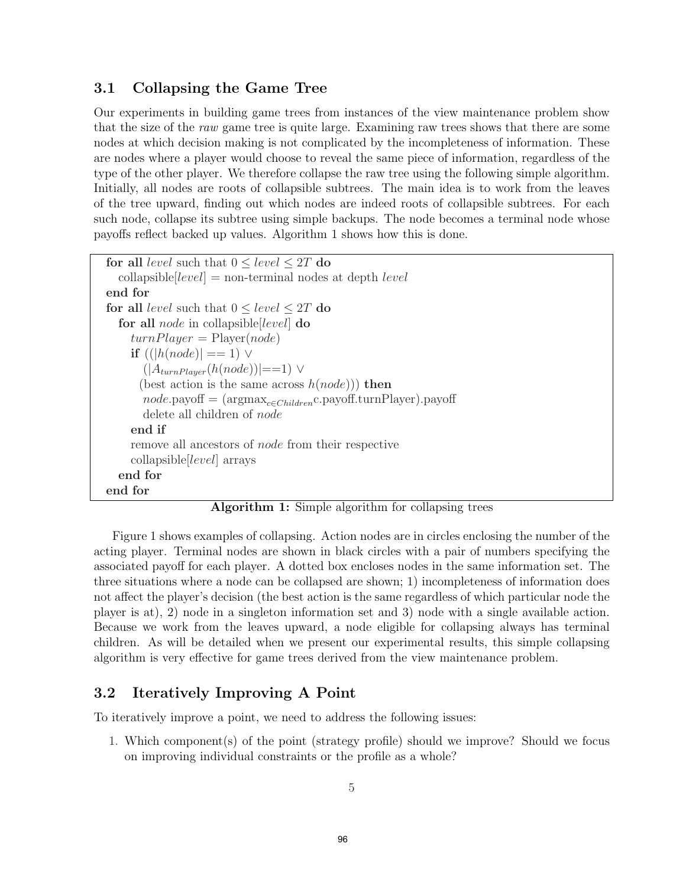### 3.1 Collapsing the Game Tree

Our experiments in building game trees from instances of the view maintenance problem show that the size of the raw game tree is quite large. Examining raw trees shows that there are some nodes at which decision making is not complicated by the incompleteness of information. These are nodes where a player would choose to reveal the same piece of information, regardless of the type of the other player. We therefore collapse the raw tree using the following simple algorithm. Initially, all nodes are roots of collapsible subtrees. The main idea is to work from the leaves of the tree upward, finding out which nodes are indeed roots of collapsible subtrees. For each such node, collapse its subtree using simple backups. The node becomes a terminal node whose payoffs reflect backed up values. Algorithm 1 shows how this is done.

```
for all level such that 0 \le level \le 2T do
  collapsible level = non-terminal nodes at depth level
end for
for all level such that 0 \le level \le 2T do
  for all node in collapsible[level] do
    turnPlayer = Player(node)if ((|h(node)| == 1) \vee(|A_{turnPlayer}(h(node))| == 1) \vee(best action is the same across h(node)) then
       node.payoff = (argmaxc∈Childrenc.payoff.turnPlayer).payoff
       delete all children of node
    end if
    remove all ancestors of node from their respective
    collapsible[level] arrays
  end for
end for
```
Algorithm 1: Simple algorithm for collapsing trees

Figure 1 shows examples of collapsing. Action nodes are in circles enclosing the number of the acting player. Terminal nodes are shown in black circles with a pair of numbers specifying the associated payoff for each player. A dotted box encloses nodes in the same information set. The three situations where a node can be collapsed are shown; 1) incompleteness of information does not affect the player's decision (the best action is the same regardless of which particular node the player is at), 2) node in a singleton information set and 3) node with a single available action. Because we work from the leaves upward, a node eligible for collapsing always has terminal children. As will be detailed when we present our experimental results, this simple collapsing algorithm is very effective for game trees derived from the view maintenance problem.

### 3.2 Iteratively Improving A Point

To iteratively improve a point, we need to address the following issues:

1. Which component(s) of the point (strategy profile) should we improve? Should we focus on improving individual constraints or the profile as a whole?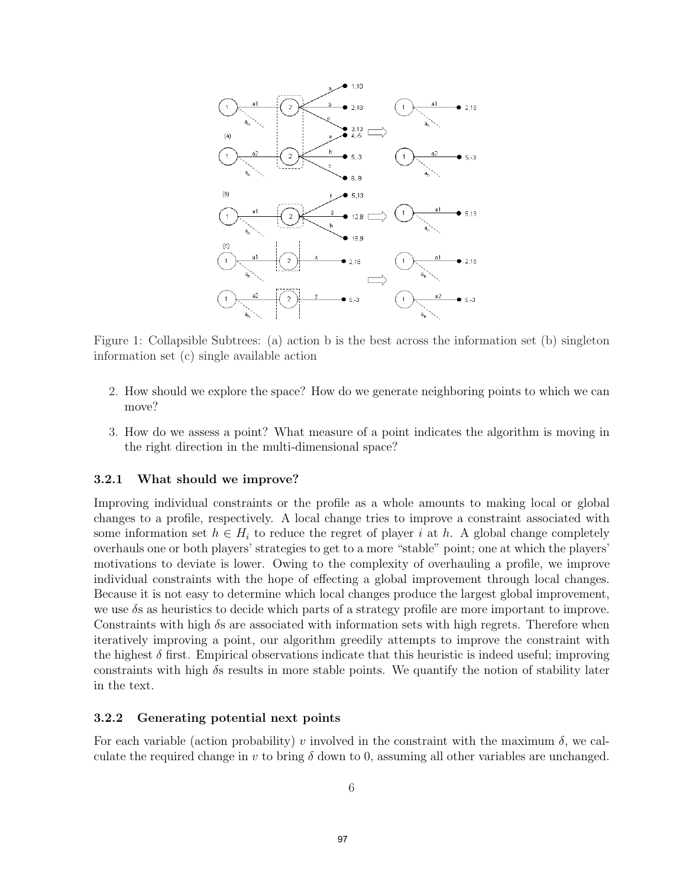

Figure 1: Collapsible Subtrees: (a) action b is the best across the information set (b) singleton information set (c) single available action

- 2. How should we explore the space? How do we generate neighboring points to which we can move?
- 3. How do we assess a point? What measure of a point indicates the algorithm is moving in the right direction in the multi-dimensional space?

#### 3.2.1 What should we improve?

Improving individual constraints or the profile as a whole amounts to making local or global changes to a profile, respectively. A local change tries to improve a constraint associated with some information set  $h \in H_i$  to reduce the regret of player i at h. A global change completely overhauls one or both players' strategies to get to a more "stable" point; one at which the players' motivations to deviate is lower. Owing to the complexity of overhauling a profile, we improve individual constraints with the hope of effecting a global improvement through local changes. Because it is not easy to determine which local changes produce the largest global improvement, we use  $\delta s$  as heuristics to decide which parts of a strategy profile are more important to improve. Constraints with high  $\delta s$  are associated with information sets with high regrets. Therefore when iteratively improving a point, our algorithm greedily attempts to improve the constraint with the highest  $\delta$  first. Empirical observations indicate that this heuristic is indeed useful; improving constraints with high  $\delta s$  results in more stable points. We quantify the notion of stability later in the text.

#### 3.2.2 Generating potential next points

For each variable (action probability) v involved in the constraint with the maximum  $\delta$ , we calculate the required change in v to bring  $\delta$  down to 0, assuming all other variables are unchanged.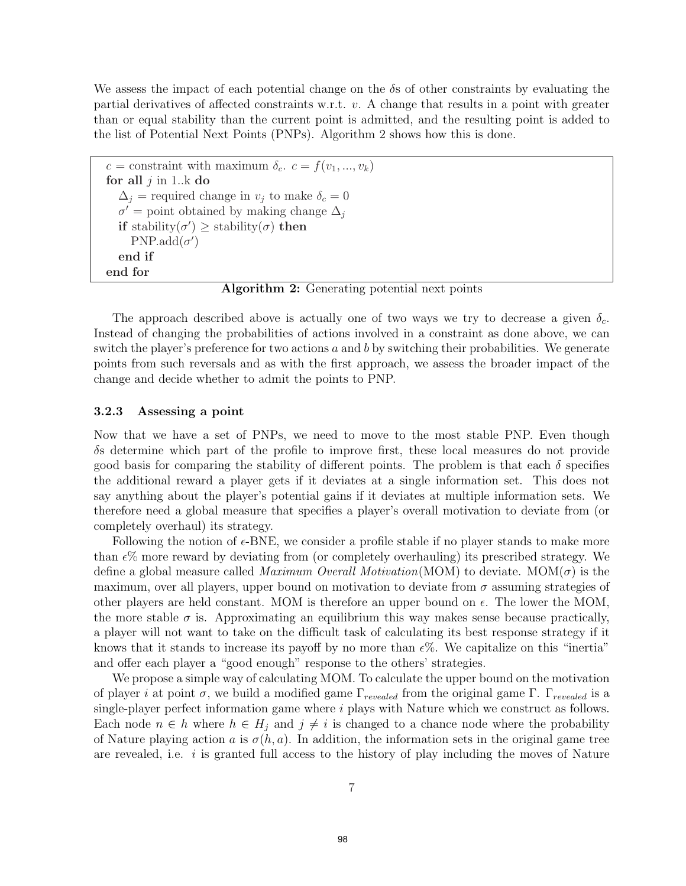We assess the impact of each potential change on the  $\delta s$  of other constraints by evaluating the partial derivatives of affected constraints w.r.t. v. A change that results in a point with greater than or equal stability than the current point is admitted, and the resulting point is added to the list of Potential Next Points (PNPs). Algorithm 2 shows how this is done.

```
c = constraint with maximum \delta_c. c = f(v_1, ..., v_k)for all j in 1..k do
  \Delta_j = required change in v_j to make \delta_c = 0\sigma' = point obtained by making change \Delta_iif stability(\sigma') \geq stability(\sigma) then
     PNP.add(\sigma')end if
end for
```
Algorithm 2: Generating potential next points

The approach described above is actually one of two ways we try to decrease a given  $\delta_c$ . Instead of changing the probabilities of actions involved in a constraint as done above, we can switch the player's preference for two actions  $a$  and  $b$  by switching their probabilities. We generate points from such reversals and as with the first approach, we assess the broader impact of the change and decide whether to admit the points to PNP.

#### 3.2.3 Assessing a point

Now that we have a set of PNPs, we need to move to the most stable PNP. Even though δs determine which part of the profile to improve first, these local measures do not provide good basis for comparing the stability of different points. The problem is that each  $\delta$  specifies the additional reward a player gets if it deviates at a single information set. This does not say anything about the player's potential gains if it deviates at multiple information sets. We therefore need a global measure that specifies a player's overall motivation to deviate from (or completely overhaul) its strategy.

Following the notion of  $\epsilon$ -BNE, we consider a profile stable if no player stands to make more than  $\epsilon$ % more reward by deviating from (or completely overhauling) its prescribed strategy. We define a global measure called *Maximum Overall Motivation*(MOM) to deviate. MOM( $\sigma$ ) is the maximum, over all players, upper bound on motivation to deviate from  $\sigma$  assuming strategies of other players are held constant. MOM is therefore an upper bound on  $\epsilon$ . The lower the MOM, the more stable  $\sigma$  is. Approximating an equilibrium this way makes sense because practically, a player will not want to take on the difficult task of calculating its best response strategy if it knows that it stands to increase its payoff by no more than  $\epsilon\%$ . We capitalize on this "inertia" and offer each player a "good enough" response to the others' strategies.

We propose a simple way of calculating MOM. To calculate the upper bound on the motivation of player i at point σ, we build a modified game Γ*revealed* from the original game Γ. Γ*revealed* is a single-player perfect information game where  $i$  plays with Nature which we construct as follows. Each node  $n \in h$  where  $h \in H_j$  and  $j \neq i$  is changed to a chance node where the probability of Nature playing action a is  $\sigma(h, a)$ . In addition, the information sets in the original game tree are revealed, i.e.  $i$  is granted full access to the history of play including the moves of Nature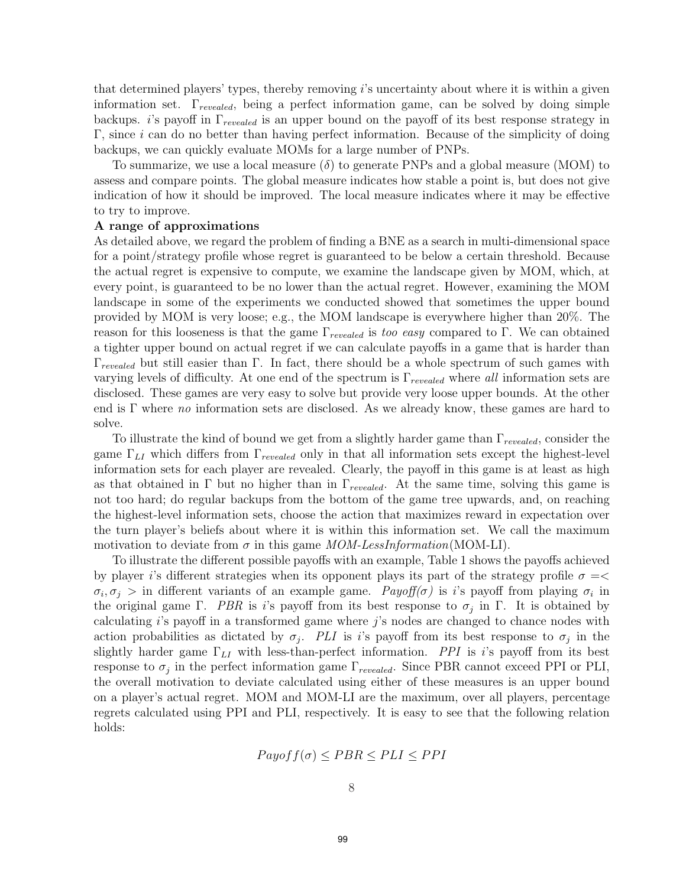that determined players' types, thereby removing i's uncertainty about where it is within a given information set. Γ*revealed*, being a perfect information game, can be solved by doing simple backups. i's payoff in Γ*revealed* is an upper bound on the payoff of its best response strategy in  $\Gamma$ , since *i* can do no better than having perfect information. Because of the simplicity of doing backups, we can quickly evaluate MOMs for a large number of PNPs.

To summarize, we use a local measure  $(\delta)$  to generate PNPs and a global measure (MOM) to assess and compare points. The global measure indicates how stable a point is, but does not give indication of how it should be improved. The local measure indicates where it may be effective to try to improve.

#### A range of approximations

As detailed above, we regard the problem of finding a BNE as a search in multi-dimensional space for a point/strategy profile whose regret is guaranteed to be below a certain threshold. Because the actual regret is expensive to compute, we examine the landscape given by MOM, which, at every point, is guaranteed to be no lower than the actual regret. However, examining the MOM landscape in some of the experiments we conducted showed that sometimes the upper bound provided by MOM is very loose; e.g., the MOM landscape is everywhere higher than 20%. The reason for this looseness is that the game Γ*revealed* is too easy compared to Γ. We can obtained a tighter upper bound on actual regret if we can calculate payoffs in a game that is harder than Γ*revealed* but still easier than Γ. In fact, there should be a whole spectrum of such games with varying levels of difficulty. At one end of the spectrum is Γ*revealed* where all information sets are disclosed. These games are very easy to solve but provide very loose upper bounds. At the other end is Γ where no information sets are disclosed. As we already know, these games are hard to solve.

To illustrate the kind of bound we get from a slightly harder game than Γ*revealed*, consider the game Γ*LI* which differs from Γ*revealed* only in that all information sets except the highest-level information sets for each player are revealed. Clearly, the payoff in this game is at least as high as that obtained in Γ but no higher than in Γ*revealed*. At the same time, solving this game is not too hard; do regular backups from the bottom of the game tree upwards, and, on reaching the highest-level information sets, choose the action that maximizes reward in expectation over the turn player's beliefs about where it is within this information set. We call the maximum motivation to deviate from  $\sigma$  in this game *MOM-LessInformation*(MOM-LI).

To illustrate the different possible payoffs with an example, Table 1 shows the payoffs achieved by player i's different strategies when its opponent plays its part of the strategy profile  $\sigma =$  $\sigma_i, \sigma_j >$  in different variants of an example game. Payoff( $\sigma$ ) is i's payoff from playing  $\sigma_i$  in the original game Γ. PBR is i's payoff from its best response to  $\sigma_i$  in Γ. It is obtained by calculating i's payoff in a transformed game where j's nodes are changed to chance nodes with action probabilities as dictated by  $\sigma_j$ . PLI is i's payoff from its best response to  $\sigma_j$  in the slightly harder game  $\Gamma_{LI}$  with less-than-perfect information. *PPI* is i's payoff from its best response to  $\sigma_j$  in the perfect information game  $\Gamma_{revealed}$ . Since PBR cannot exceed PPI or PLI, the overall motivation to deviate calculated using either of these measures is an upper bound on a player's actual regret. MOM and MOM-LI are the maximum, over all players, percentage regrets calculated using PPI and PLI, respectively. It is easy to see that the following relation holds:

$$
Payoff(\sigma) \le PBR \le PLI \le PPI
$$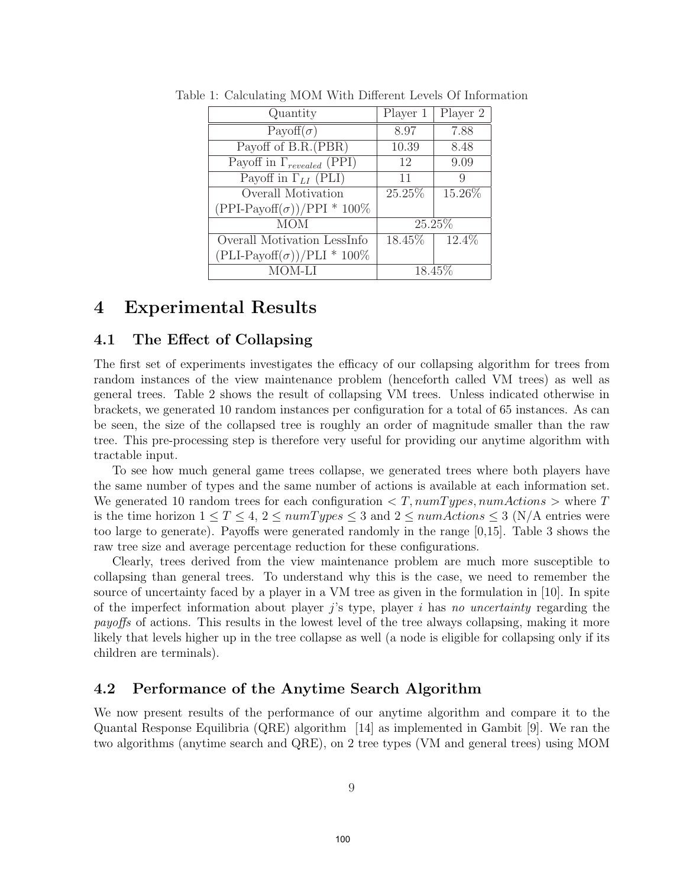| Quantity                            | Player 1  | Player 2 |
|-------------------------------------|-----------|----------|
| Payoff $(\sigma)$                   | 8.97      | 7.88     |
| Payoff of B.R.(PBR)                 | 10.39     | 8.48     |
| Payoff in $\Gamma_{revealed}$ (PPI) | 12        | 9.09     |
| Payoff in $\Gamma_{LI}$ (PLI)       | 11        | 9        |
| Overall Motivation                  | 25.25%    | 15.26%   |
| $(PPI-Payoff(\sigma))/PPI * 100\%$  |           |          |
| <b>MOM</b>                          |           | 25.25%   |
| Overall Motivation LessInfo         | $18.45\%$ | 12.4%    |
| $(PLI-Payoff(\sigma))/PLI * 100\%$  |           |          |
| MOM-LI                              |           | 18.45\%  |

Table 1: Calculating MOM With Different Levels Of Information

### 4 Experimental Results

### 4.1 The Effect of Collapsing

The first set of experiments investigates the efficacy of our collapsing algorithm for trees from random instances of the view maintenance problem (henceforth called VM trees) as well as general trees. Table 2 shows the result of collapsing VM trees. Unless indicated otherwise in brackets, we generated 10 random instances per configuration for a total of 65 instances. As can be seen, the size of the collapsed tree is roughly an order of magnitude smaller than the raw tree. This pre-processing step is therefore very useful for providing our anytime algorithm with tractable input.

To see how much general game trees collapse, we generated trees where both players have the same number of types and the same number of actions is available at each information set. We generated 10 random trees for each configuration  $\langle T, numTypes, numActions \rangle$  where T is the time horizon  $1 \le T \le 4$ ,  $2 \le numTypes \le 3$  and  $2 \le num Actions \le 3$  (N/A entries were too large to generate). Payoffs were generated randomly in the range [0,15]. Table 3 shows the raw tree size and average percentage reduction for these configurations.

Clearly, trees derived from the view maintenance problem are much more susceptible to collapsing than general trees. To understand why this is the case, we need to remember the source of uncertainty faced by a player in a VM tree as given in the formulation in [10]. In spite of the imperfect information about player j's type, player i has no uncertainty regarding the payoffs of actions. This results in the lowest level of the tree always collapsing, making it more likely that levels higher up in the tree collapse as well (a node is eligible for collapsing only if its children are terminals).

### 4.2 Performance of the Anytime Search Algorithm

We now present results of the performance of our anytime algorithm and compare it to the Quantal Response Equilibria (QRE) algorithm [14] as implemented in Gambit [9]. We ran the two algorithms (anytime search and QRE), on 2 tree types (VM and general trees) using MOM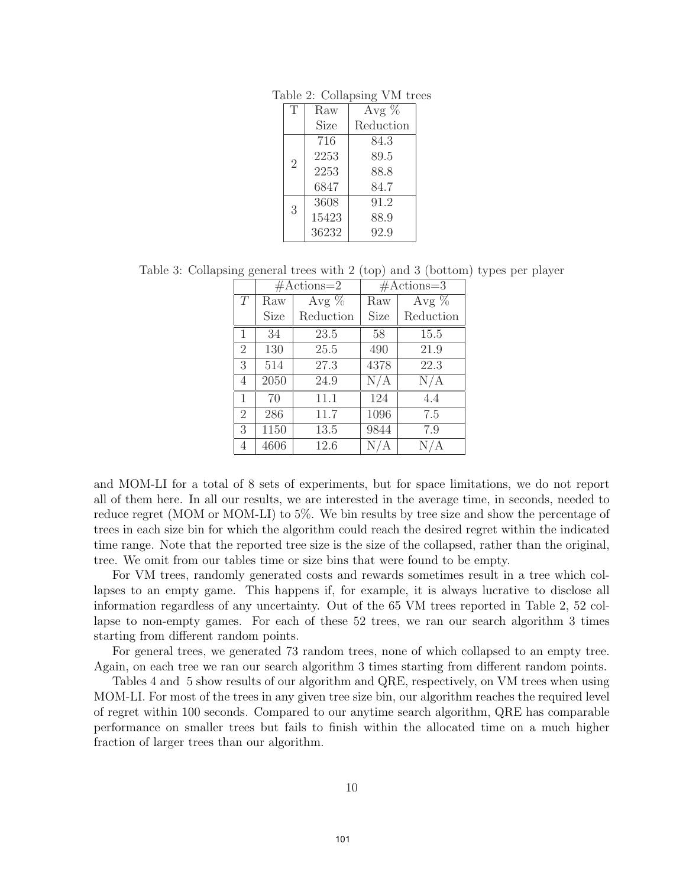|  | Table 2: Collapsing VM trees |  |  |
|--|------------------------------|--|--|
|--|------------------------------|--|--|

| T              | Raw   | Avg $\%$  |
|----------------|-------|-----------|
|                | Size  | Reduction |
|                | 716   | 84.3      |
| $\overline{2}$ | 2253  | 89.5      |
|                | 2253  | 88.8      |
|                | 6847  | 84.7      |
| 3              | 3608  | 91.2      |
|                | 15423 | 88.9      |
|                | 36232 | 92.9      |

Table 3: Collapsing general trees with 2 (top) and 3 (bottom) types per player

|                |      | $# \text{Actions}=2$ |      | $# \text{Actions}=3$ |
|----------------|------|----------------------|------|----------------------|
| T              | Raw  | Avg $%$              | Raw  | Avg $%$              |
|                | Size | Reduction            | Size | Reduction            |
| $\mathbf{1}$   | 34   | 23.5                 | 58   | 15.5                 |
| $\overline{2}$ | 130  | 25.5                 | 490  | 21.9                 |
| 3              | 514  | 27.3                 | 4378 | 22.3                 |
| 4              | 2050 | 24.9                 | N/A  | N/A                  |
| $\mathbf{1}$   | 70   | 11.1                 | 124  | 4.4                  |
| $\overline{2}$ | 286  | 11.7                 | 1096 | 7.5                  |
| 3              | 1150 | 13.5                 | 9844 | 7.9                  |
| 4              | 4606 | 12.6                 | N/   | А                    |

and MOM-LI for a total of 8 sets of experiments, but for space limitations, we do not report all of them here. In all our results, we are interested in the average time, in seconds, needed to reduce regret (MOM or MOM-LI) to 5%. We bin results by tree size and show the percentage of trees in each size bin for which the algorithm could reach the desired regret within the indicated time range. Note that the reported tree size is the size of the collapsed, rather than the original, tree. We omit from our tables time or size bins that were found to be empty.

For VM trees, randomly generated costs and rewards sometimes result in a tree which collapses to an empty game. This happens if, for example, it is always lucrative to disclose all information regardless of any uncertainty. Out of the 65 VM trees reported in Table 2, 52 collapse to non-empty games. For each of these 52 trees, we ran our search algorithm 3 times starting from different random points.

For general trees, we generated 73 random trees, none of which collapsed to an empty tree. Again, on each tree we ran our search algorithm 3 times starting from different random points.

Tables 4 and 5 show results of our algorithm and QRE, respectively, on VM trees when using MOM-LI. For most of the trees in any given tree size bin, our algorithm reaches the required level of regret within 100 seconds. Compared to our anytime search algorithm, QRE has comparable performance on smaller trees but fails to finish within the allocated time on a much higher fraction of larger trees than our algorithm.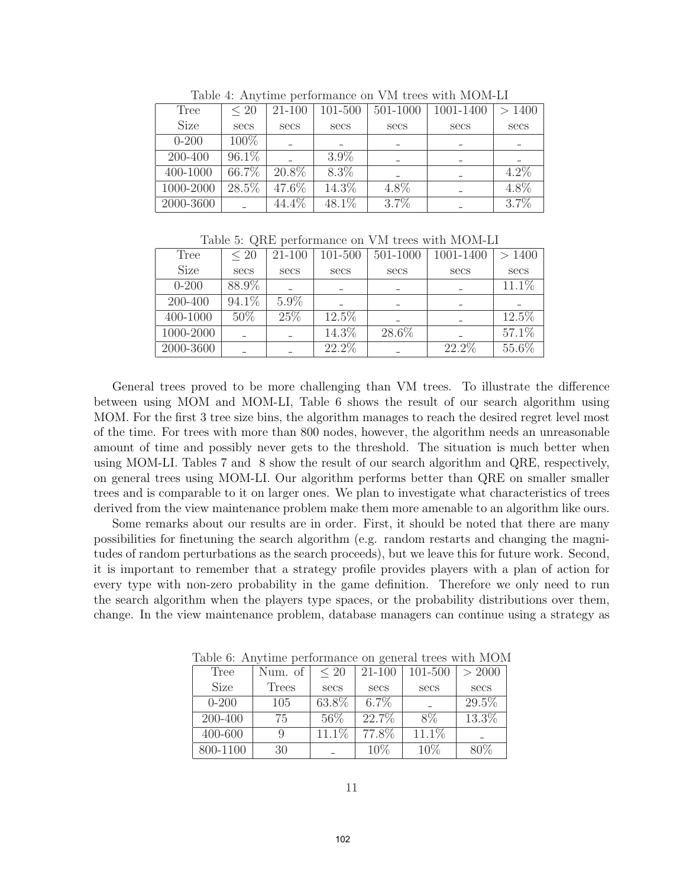| Tree        | $\leq 20$ | 21-100 | 101-500 | 501-1000 | 1001-1400 | >1400   |  |
|-------------|-----------|--------|---------|----------|-----------|---------|--|
| <b>Size</b> | secs      | secs   | secs    | secs     | secs      | secs    |  |
| $0 - 200$   | 100%      |        |         |          |           |         |  |
| 200-400     | 96.1%     |        | $3.9\%$ |          |           |         |  |
| 400-1000    | 66.7%     | 20.8%  | 8.3%    |          |           | $4.2\%$ |  |
| 1000-2000   | 28.5%     | 47.6%  | 14.3%   | 4.8%     |           | 4.8%    |  |
| 2000-3600   |           | 44.4\% | 48.1%   | 3.7%     |           | 3.7%    |  |

Table 4: Anytime performance on VM trees with MOM-LI

Table 5: QRE performance on VM trees with MOM-LI

| Tree        | $\leq 20$ | 21-100  | 101-500 | 501-1000 | 1001-1400 | >1400    |
|-------------|-----------|---------|---------|----------|-----------|----------|
| <b>Size</b> | secs      | secs    | secs    | secs     | secs      | secs     |
| $0 - 200$   | 88.9%     |         |         |          |           | $11.1\%$ |
| 200-400     | 94.1%     | $5.9\%$ |         |          |           |          |
| 400-1000    | $50\%$    | 25\%    | 12.5%   |          |           | 12.5%    |
| 1000-2000   |           |         | 14.3%   | 28.6%    |           | 57.1%    |
| 2000-3600   |           |         | 22.2%   |          | 22.2%     | 55.6%    |

General trees proved to be more challenging than VM trees. To illustrate the difference between using MOM and MOM-LI, Table 6 shows the result of our search algorithm using MOM. For the first 3 tree size bins, the algorithm manages to reach the desired regret level most of the time. For trees with more than 800 nodes, however, the algorithm needs an unreasonable amount of time and possibly never gets to the threshold. The situation is much better when using MOM-LI. Tables 7 and 8 show the result of our search algorithm and QRE, respectively, on general trees using MOM-LI. Our algorithm performs better than QRE on smaller smaller trees and is comparable to it on larger ones. We plan to investigate what characteristics of trees derived from the view maintenance problem make them more amenable to an algorithm like ours.

Some remarks about our results are in order. First, it should be noted that there are many possibilities for finetuning the search algorithm (e.g. random restarts and changing the magnitudes of random perturbations as the search proceeds), but we leave this for future work. Second, it is important to remember that a strategy profile provides players with a plan of action for every type with non-zero probability in the game definition. Therefore we only need to run the search algorithm when the players type spaces, or the probability distributions over them, change. In the view maintenance problem, database managers can continue using a strategy as

| Tree        | Num. of      | $\leq 20$ | $21 - 100$ | 101-500 | > 2000 |
|-------------|--------------|-----------|------------|---------|--------|
| <b>Size</b> | <b>Trees</b> | secs      | secs       | secs    | secs   |
| $0 - 200$   | 105          | 63.8%     | $6.7\%$    |         | 29.5%  |
| 200-400     | 75           | 56\%      | 22.7%      | 8%      | 13.3%  |
| 400-600     |              | $11.1\%$  | 77.8%      | 11.1%   |        |
| 800-1100    | 30           |           | 10%        | 10%     | $80\%$ |

Table 6: Anytime performance on general trees with MOM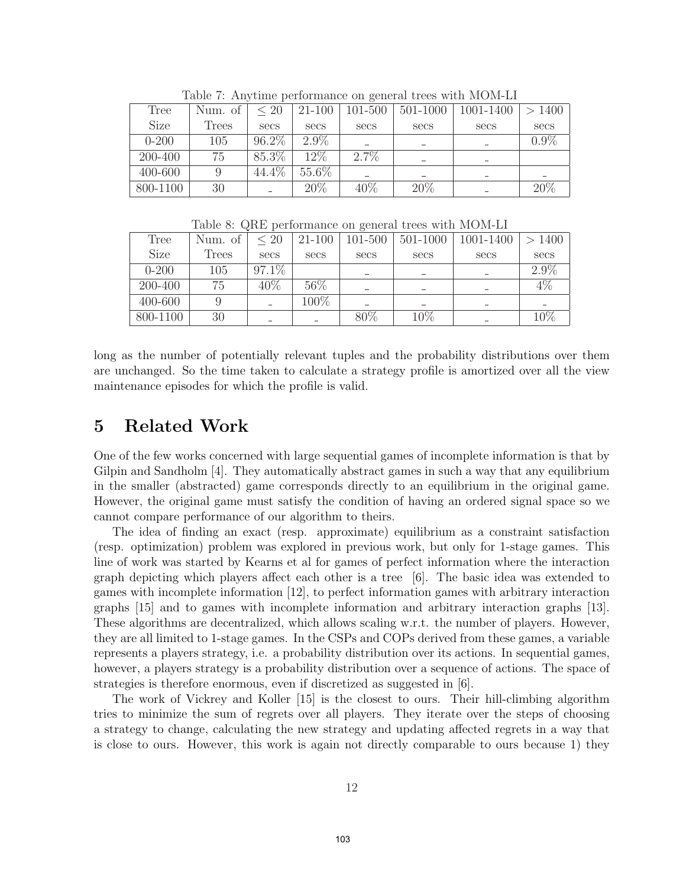| Tree        | Num. of | $\leq 20$ | 21-100  | 101-500 | 501-1000 | 1001-1400 | > 1400  |  |
|-------------|---------|-----------|---------|---------|----------|-----------|---------|--|
| <b>Size</b> | Trees   | secs      | secs    | secs    | secs     | secs      | secs    |  |
| $0 - 200$   | 105     | 96.2%     | $2.9\%$ |         |          |           | $0.9\%$ |  |
| 200-400     | 75      | 85.3%     | $12\%$  | $2.7\%$ |          |           |         |  |
| 400-600     |         | 44.4%     | 55.6%   |         |          |           |         |  |
| 800-1100    | 30      |           | 20%     | $40\%$  | 20%      |           | 20%     |  |

Table 7: Anytime performance on general trees with MOM-LI

| Table 8: QRE performance on general trees with MOM-LI |  |  |  |
|-------------------------------------------------------|--|--|--|
|-------------------------------------------------------|--|--|--|

| Tree        | Num. of | $\leq 20$ | 21-100 | 101-500 | 501-1000 | 1001-1400 | >1400  |
|-------------|---------|-----------|--------|---------|----------|-----------|--------|
| <b>Size</b> | Trees   | secs      | secs   | secs    | secs     | secs      | secs   |
| $0 - 200$   | 105     | $97.1\%$  |        |         |          |           | 2.9%   |
| 200-400     | 75      | 40\%      | 56\%   |         |          |           | $4\%$  |
| 400-600     |         |           | 100%   |         |          |           |        |
| 800-1100    | 30      |           |        | $80\%$  | $10\%$   |           | $10\%$ |

long as the number of potentially relevant tuples and the probability distributions over them are unchanged. So the time taken to calculate a strategy profile is amortized over all the view maintenance episodes for which the profile is valid.

# 5 Related Work

One of the few works concerned with large sequential games of incomplete information is that by Gilpin and Sandholm [4]. They automatically abstract games in such a way that any equilibrium in the smaller (abstracted) game corresponds directly to an equilibrium in the original game. However, the original game must satisfy the condition of having an ordered signal space so we cannot compare performance of our algorithm to theirs.

The idea of finding an exact (resp. approximate) equilibrium as a constraint satisfaction (resp. optimization) problem was explored in previous work, but only for 1-stage games. This line of work was started by Kearns et al for games of perfect information where the interaction graph depicting which players affect each other is a tree [6]. The basic idea was extended to games with incomplete information [12], to perfect information games with arbitrary interaction graphs [15] and to games with incomplete information and arbitrary interaction graphs [13]. These algorithms are decentralized, which allows scaling w.r.t. the number of players. However, they are all limited to 1-stage games. In the CSPs and COPs derived from these games, a variable represents a players strategy, i.e. a probability distribution over its actions. In sequential games, however, a players strategy is a probability distribution over a sequence of actions. The space of strategies is therefore enormous, even if discretized as suggested in [6].

The work of Vickrey and Koller [15] is the closest to ours. Their hill-climbing algorithm tries to minimize the sum of regrets over all players. They iterate over the steps of choosing a strategy to change, calculating the new strategy and updating affected regrets in a way that is close to ours. However, this work is again not directly comparable to ours because 1) they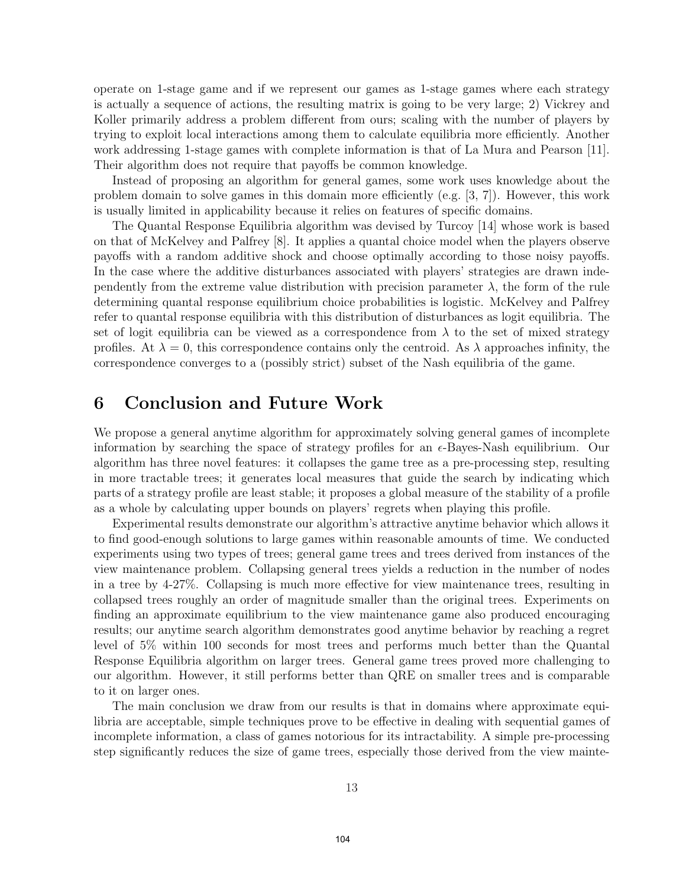operate on 1-stage game and if we represent our games as 1-stage games where each strategy is actually a sequence of actions, the resulting matrix is going to be very large; 2) Vickrey and Koller primarily address a problem different from ours; scaling with the number of players by trying to exploit local interactions among them to calculate equilibria more efficiently. Another work addressing 1-stage games with complete information is that of La Mura and Pearson [11]. Their algorithm does not require that payoffs be common knowledge.

Instead of proposing an algorithm for general games, some work uses knowledge about the problem domain to solve games in this domain more efficiently (e.g. [3, 7]). However, this work is usually limited in applicability because it relies on features of specific domains.

The Quantal Response Equilibria algorithm was devised by Turcoy [14] whose work is based on that of McKelvey and Palfrey [8]. It applies a quantal choice model when the players observe payoffs with a random additive shock and choose optimally according to those noisy payoffs. In the case where the additive disturbances associated with players' strategies are drawn independently from the extreme value distribution with precision parameter  $\lambda$ , the form of the rule determining quantal response equilibrium choice probabilities is logistic. McKelvey and Palfrey refer to quantal response equilibria with this distribution of disturbances as logit equilibria. The set of logit equilibria can be viewed as a correspondence from  $\lambda$  to the set of mixed strategy profiles. At  $\lambda = 0$ , this correspondence contains only the centroid. As  $\lambda$  approaches infinity, the correspondence converges to a (possibly strict) subset of the Nash equilibria of the game.

## 6 Conclusion and Future Work

We propose a general anytime algorithm for approximately solving general games of incomplete information by searching the space of strategy profiles for an  $\epsilon$ -Bayes-Nash equilibrium. Our algorithm has three novel features: it collapses the game tree as a pre-processing step, resulting in more tractable trees; it generates local measures that guide the search by indicating which parts of a strategy profile are least stable; it proposes a global measure of the stability of a profile as a whole by calculating upper bounds on players' regrets when playing this profile.

Experimental results demonstrate our algorithm's attractive anytime behavior which allows it to find good-enough solutions to large games within reasonable amounts of time. We conducted experiments using two types of trees; general game trees and trees derived from instances of the view maintenance problem. Collapsing general trees yields a reduction in the number of nodes in a tree by 4-27%. Collapsing is much more effective for view maintenance trees, resulting in collapsed trees roughly an order of magnitude smaller than the original trees. Experiments on finding an approximate equilibrium to the view maintenance game also produced encouraging results; our anytime search algorithm demonstrates good anytime behavior by reaching a regret level of 5% within 100 seconds for most trees and performs much better than the Quantal Response Equilibria algorithm on larger trees. General game trees proved more challenging to our algorithm. However, it still performs better than QRE on smaller trees and is comparable to it on larger ones.

The main conclusion we draw from our results is that in domains where approximate equilibria are acceptable, simple techniques prove to be effective in dealing with sequential games of incomplete information, a class of games notorious for its intractability. A simple pre-processing step significantly reduces the size of game trees, especially those derived from the view mainte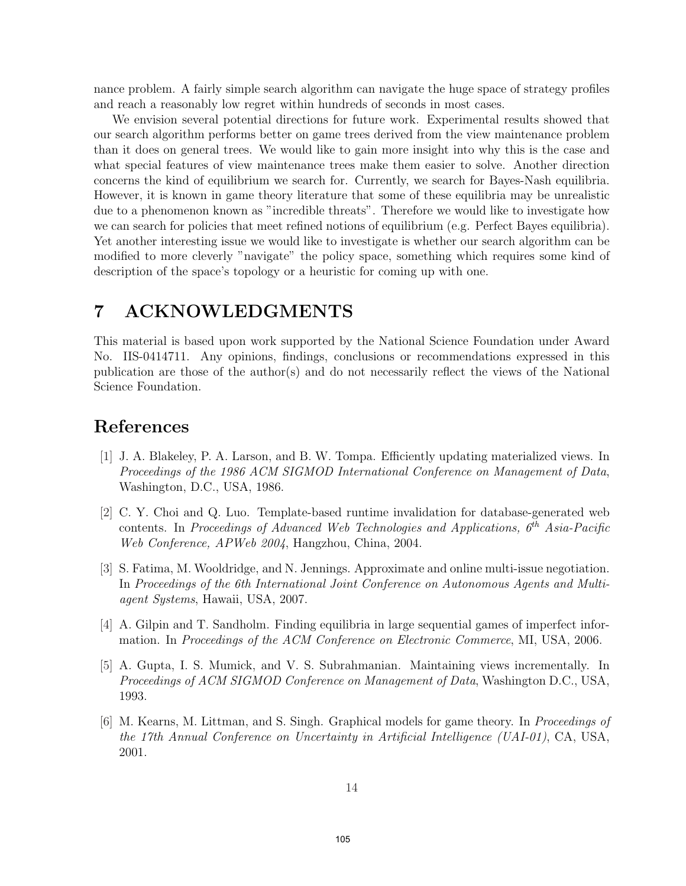nance problem. A fairly simple search algorithm can navigate the huge space of strategy profiles and reach a reasonably low regret within hundreds of seconds in most cases.

We envision several potential directions for future work. Experimental results showed that our search algorithm performs better on game trees derived from the view maintenance problem than it does on general trees. We would like to gain more insight into why this is the case and what special features of view maintenance trees make them easier to solve. Another direction concerns the kind of equilibrium we search for. Currently, we search for Bayes-Nash equilibria. However, it is known in game theory literature that some of these equilibria may be unrealistic due to a phenomenon known as "incredible threats". Therefore we would like to investigate how we can search for policies that meet refined notions of equilibrium (e.g. Perfect Bayes equilibria). Yet another interesting issue we would like to investigate is whether our search algorithm can be modified to more cleverly "navigate" the policy space, something which requires some kind of description of the space's topology or a heuristic for coming up with one.

## 7 ACKNOWLEDGMENTS

This material is based upon work supported by the National Science Foundation under Award No. IIS-0414711. Any opinions, findings, conclusions or recommendations expressed in this publication are those of the author(s) and do not necessarily reflect the views of the National Science Foundation.

# References

- [1] J. A. Blakeley, P. A. Larson, and B. W. Tompa. Efficiently updating materialized views. In Proceedings of the 1986 ACM SIGMOD International Conference on Management of Data, Washington, D.C., USA, 1986.
- [2] C. Y. Choi and Q. Luo. Template-based runtime invalidation for database-generated web contents. In Proceedings of Advanced Web Technologies and Applications, 6*th* Asia-Pacific Web Conference, APWeb 2004, Hangzhou, China, 2004.
- [3] S. Fatima, M. Wooldridge, and N. Jennings. Approximate and online multi-issue negotiation. In Proceedings of the 6th International Joint Conference on Autonomous Agents and Multiagent Systems, Hawaii, USA, 2007.
- [4] A. Gilpin and T. Sandholm. Finding equilibria in large sequential games of imperfect information. In Proceedings of the ACM Conference on Electronic Commerce, MI, USA, 2006.
- [5] A. Gupta, I. S. Mumick, and V. S. Subrahmanian. Maintaining views incrementally. In Proceedings of ACM SIGMOD Conference on Management of Data, Washington D.C., USA, 1993.
- [6] M. Kearns, M. Littman, and S. Singh. Graphical models for game theory. In Proceedings of the 17th Annual Conference on Uncertainty in Artificial Intelligence (UAI-01), CA, USA, 2001.